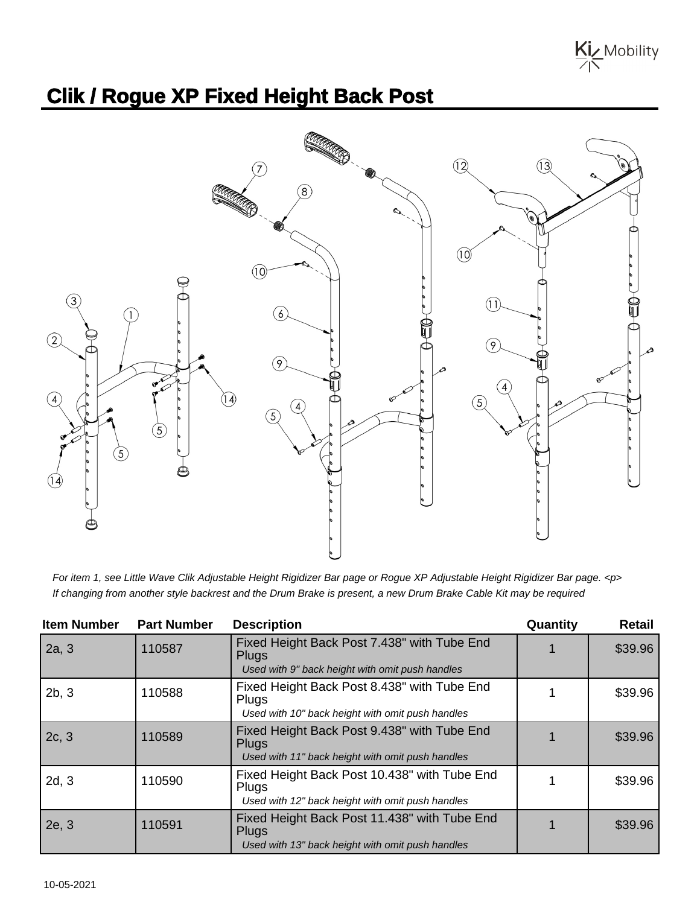

## **Clik / Rogue XP Fixed Height Back Post**



For item 1, see Little Wave Clik Adjustable Height Rigidizer Bar page or Rogue XP Adjustable Height Rigidizer Bar page. <p> If changing from another style backrest and the Drum Brake is present, a new Drum Brake Cable Kit may be required

| <b>Item Number</b> | <b>Part Number</b> | <b>Description</b>                                                                                               | Quantity | <b>Retail</b> |
|--------------------|--------------------|------------------------------------------------------------------------------------------------------------------|----------|---------------|
| 2a, 3              | 110587             | Fixed Height Back Post 7.438" with Tube End<br><b>Plugs</b><br>Used with 9" back height with omit push handles   |          | \$39.96       |
| 2b, 3              | 110588             | Fixed Height Back Post 8.438" with Tube End<br><b>Plugs</b><br>Used with 10" back height with omit push handles  |          | \$39.96       |
| 2c, 3              | 110589             | Fixed Height Back Post 9.438" with Tube End<br><b>Plugs</b><br>Used with 11" back height with omit push handles  |          | \$39.96       |
| 2d, 3              | 110590             | Fixed Height Back Post 10.438" with Tube End<br><b>Plugs</b><br>Used with 12" back height with omit push handles |          | \$39.96       |
| 2e, 3              | 110591             | Fixed Height Back Post 11.438" with Tube End<br><b>Plugs</b><br>Used with 13" back height with omit push handles |          | \$39.96       |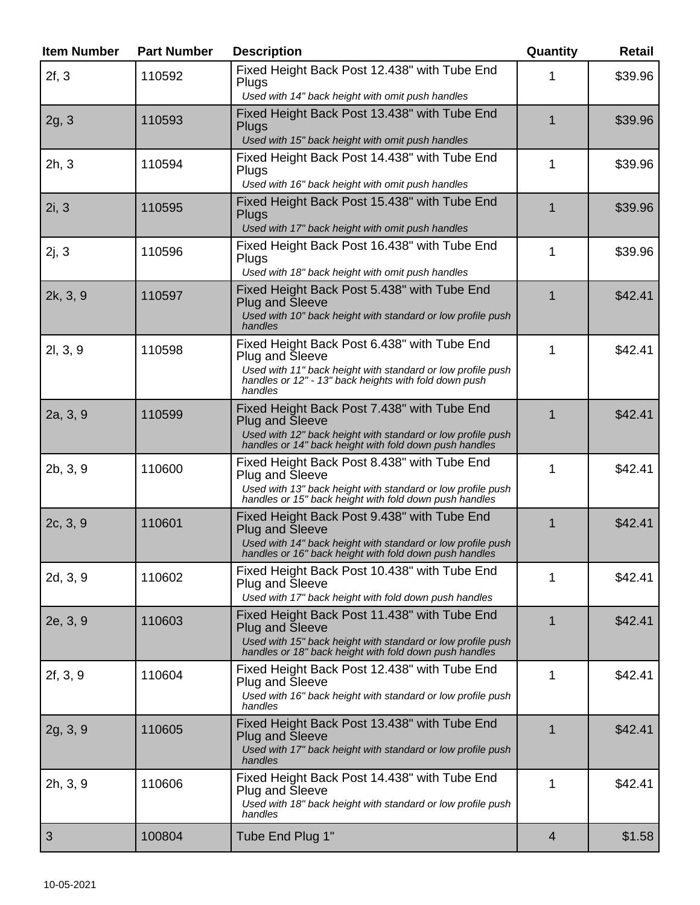| <b>Item Number</b> | <b>Part Number</b> | <b>Description</b>                                                                                                                                                                                       | Quantity    | <b>Retail</b> |
|--------------------|--------------------|----------------------------------------------------------------------------------------------------------------------------------------------------------------------------------------------------------|-------------|---------------|
| 2f, 3              | 110592             | Fixed Height Back Post 12.438" with Tube End<br>Plugs<br>Used with 14" back height with omit push handles                                                                                                | 1           | \$39.96       |
| 2g, 3              | 110593             | Fixed Height Back Post 13.438" with Tube End<br>Plugs<br>Used with 15" back height with omit push handles                                                                                                | 1           | \$39.96       |
| 2h, 3              | 110594             | Fixed Height Back Post 14.438" with Tube End<br>Plugs<br>Used with 16" back height with omit push handles                                                                                                | 1           | \$39.96       |
| 2i, 3              | 110595             | Fixed Height Back Post 15.438" with Tube End<br>Plugs<br>Used with 17" back height with omit push handles                                                                                                | 1           | \$39.96       |
| 2j, 3              | 110596             | Fixed Height Back Post 16.438" with Tube End<br>Plugs<br>Used with 18" back height with omit push handles                                                                                                | 1           | \$39.96       |
| 2k, 3, 9           | 110597             | Fixed Height Back Post 5.438" with Tube End<br><b>Plug and Sleeve</b><br>Used with 10" back height with standard or low profile push<br>handles                                                          | $\mathbf 1$ | \$42.41       |
| 2l, 3, 9           | 110598             | Fixed Height Back Post 6.438" with Tube End<br><b>Plug and Sleeve</b><br>Used with 11" back height with standard or low profile push<br>handles or 12" - 13" back heights with fold down push<br>handles | 1           | \$42.41       |
| 2a, 3, 9           | 110599             | Fixed Height Back Post 7.438" with Tube End<br><b>Plug and Sleeve</b><br>Used with 12" back height with standard or low profile push<br>handles or 14" back height with fold down push handles           | 1           | \$42.41       |
| 2b, 3, 9           | 110600             | Fixed Height Back Post 8.438" with Tube End<br><b>Plug and Sleeve</b><br>Used with 13" back height with standard or low profile push<br>handles or 15" back height with fold down push handles           | 1           | \$42.41       |
| 2c, 3, 9           | 110601             | Fixed Height Back Post 9.438" with Tube End<br><b>Plug and Sleeve</b><br>Used with 14" back height with standard or low profile push<br>handles or 16" back height with fold down push handles           | 1           | \$42.41       |
| 2d, 3, 9           | 110602             | Fixed Height Back Post 10.438" with Tube End<br><b>Plug and Sleeve</b><br>Used with 17" back height with fold down push handles                                                                          | 1           | \$42.41       |
| 2e, 3, 9           | 110603             | Fixed Height Back Post 11.438" with Tube End<br><b>Plug and Sleeve</b><br>Used with 15" back height with standard or low profile push<br>handles or 18" back height with fold down push handles          | 1           | \$42.41       |
| 2f, 3, 9           | 110604             | Fixed Height Back Post 12.438" with Tube End<br>Plug and Sleeve<br>Used with 16" back height with standard or low profile push<br>handles                                                                | 1           | \$42.41       |
| 2g, 3, 9           | 110605             | Fixed Height Back Post 13.438" with Tube End<br>Plug and Sleeve<br>Used with 17" back height with standard or low profile push<br>handles                                                                | $\mathbf 1$ | \$42.41       |
| 2h, 3, 9           | 110606             | Fixed Height Back Post 14.438" with Tube End<br>Plug and Sleeve<br>Used with 18" back height with standard or low profile push<br>handles                                                                | 1           | \$42.41       |
| 3                  | 100804             | Tube End Plug 1"                                                                                                                                                                                         | 4           | \$1.58        |